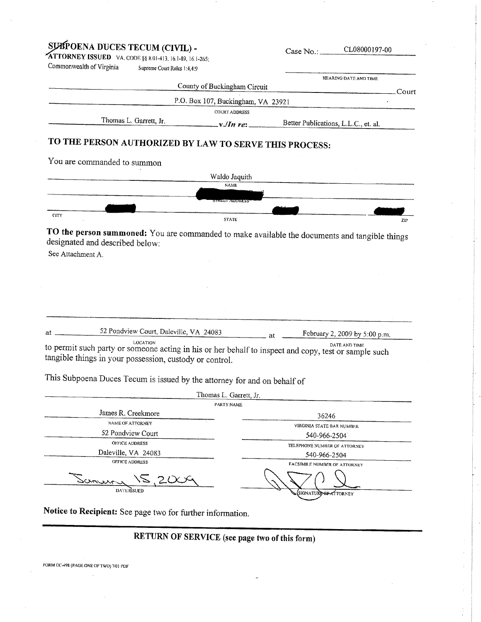| SUBPOENA DUCES TECUM (CIVIL) -                                                                                                                                                                                                                          | Case No.:                                    | CL08000197-00                       |                                      |
|---------------------------------------------------------------------------------------------------------------------------------------------------------------------------------------------------------------------------------------------------------|----------------------------------------------|-------------------------------------|--------------------------------------|
| <b>ATTORNEY ISSUED</b> VA. CODE §§ 8.01-413, 16.1-89, 16.1-265;                                                                                                                                                                                         |                                              |                                     |                                      |
| Commonwealth of Virginia<br>Supreme Court Roles 1:4.4:9                                                                                                                                                                                                 |                                              |                                     |                                      |
|                                                                                                                                                                                                                                                         | County of Buckingham Circuit                 |                                     | HEARING DATE AND TIME                |
|                                                                                                                                                                                                                                                         |                                              |                                     | Court                                |
|                                                                                                                                                                                                                                                         | P.O. Box 107, Buckingham, VA 23921           |                                     |                                      |
| Thomas L. Garrett, Jr.                                                                                                                                                                                                                                  | <b>COURT ADDRESS</b>                         |                                     |                                      |
|                                                                                                                                                                                                                                                         | $x/Im$ re:                                   |                                     | Better Publications, L.L.C., et. al. |
| TO THE PERSON AUTHORIZED BY LAW TO SERVE THIS PROCESS:                                                                                                                                                                                                  |                                              |                                     |                                      |
| You are commanded to summon                                                                                                                                                                                                                             |                                              |                                     |                                      |
|                                                                                                                                                                                                                                                         | Waldo Jaquith                                |                                     |                                      |
|                                                                                                                                                                                                                                                         | <b>NAME</b>                                  |                                     |                                      |
|                                                                                                                                                                                                                                                         |                                              |                                     |                                      |
|                                                                                                                                                                                                                                                         | <b>TREET ADDRESS</b>                         |                                     |                                      |
| CITY                                                                                                                                                                                                                                                    | <b>STATE</b>                                 |                                     | ZIP                                  |
| TO the person summoned: You are commanded to make available the documents and tangible things                                                                                                                                                           |                                              |                                     |                                      |
|                                                                                                                                                                                                                                                         |                                              |                                     |                                      |
| 52 Pondview Court, Daleville, VA 24083<br>at                                                                                                                                                                                                            | at                                           |                                     | February 2, 2009 by 5:00 p.m.        |
| LOCATION<br>to permit such party or someone acting in his or her behalf to inspect and copy, test or sample such<br>tangible things in your possession, custody or control.<br>This Subpoena Duces Tecum is issued by the attorney for and on behalf of |                                              |                                     | DATE AND TIME                        |
|                                                                                                                                                                                                                                                         | Thomas L. Garrett, Jr.                       |                                     |                                      |
|                                                                                                                                                                                                                                                         | <b>PARTY NAME</b>                            |                                     |                                      |
| James R. Creekmore<br>NAME OF ATTORNEY                                                                                                                                                                                                                  |                                              | 36246                               |                                      |
| 52 Pondview Court                                                                                                                                                                                                                                       |                                              | VIRGINIA STATE BAR NUMBER           |                                      |
| OFFICE ADDRESS                                                                                                                                                                                                                                          |                                              | 540-966-2504                        |                                      |
| Daleville, VA 24083                                                                                                                                                                                                                                     | TELEPHONE NUMBER OF ATTORNEY<br>540-966-2504 |                                     |                                      |
| OFFICE ADDRESS                                                                                                                                                                                                                                          |                                              | <b>FACSIMILE NUMBER OF ATTORNEY</b> |                                      |
| Samur                                                                                                                                                                                                                                                   |                                              |                                     |                                      |
| DATE IŠSUEE                                                                                                                                                                                                                                             |                                              | SIGNATURE OF ATTORNEY               |                                      |
|                                                                                                                                                                                                                                                         |                                              |                                     |                                      |

Notice to Recipient: See page two for further information.

# RETURN OF SERVICE (see page two of this form)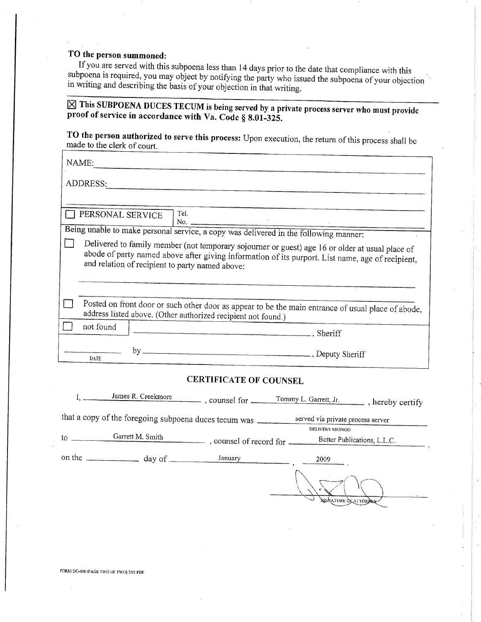## TO the person summoned:

If you are served with this subpoena less than 14 days prior to the date that compliance with this subpoena is required, you may object by notifying the party who issued the subpoena of your objection in writing and describing the basis of your objection in that writing.

 $\boxtimes$  This SUBPOENA DUCES TECUM is being served by a private process server who must provide proof of service in accordance with Va. Code § 8.01-325.

TO the person authorized to serve this process: Upon execution, the return of this process shall be made to the clerk of court.

|          | NAME:                                                                                                                                                                                                                                                  |     |                                      |  |  |  |  |
|----------|--------------------------------------------------------------------------------------------------------------------------------------------------------------------------------------------------------------------------------------------------------|-----|--------------------------------------|--|--|--|--|
| ADDRESS: |                                                                                                                                                                                                                                                        |     |                                      |  |  |  |  |
|          |                                                                                                                                                                                                                                                        |     |                                      |  |  |  |  |
|          | PERSONAL SERVICE                                                                                                                                                                                                                                       |     | Tel.<br>No. $\overline{\phantom{a}}$ |  |  |  |  |
|          | Being unable to make personal service, a copy was delivered in the following manner:                                                                                                                                                                   |     |                                      |  |  |  |  |
|          | Delivered to family member (not temporary sojourner or guest) age 16 or older at usual place of<br>abode of party named above after giving information of its purport. List name, age of recipient,<br>and relation of recipient to party named above: |     |                                      |  |  |  |  |
|          | Posted on front door or such other door as appear to be the main entrance of usual place of abode,<br>address listed above. (Other authorized recipient not found.)                                                                                    |     |                                      |  |  |  |  |
|          | not found                                                                                                                                                                                                                                              |     | Sheriff                              |  |  |  |  |
|          | DATE.                                                                                                                                                                                                                                                  | by. | Deputy Sheriff                       |  |  |  |  |
|          |                                                                                                                                                                                                                                                        |     |                                      |  |  |  |  |

#### **CERTIFICATE OF COUNSEL**

|                                                                                            | James R. Creekmore | $\ldots$ counsel for $\ldots$ | Tommy L. Garrett, Jr.<br>, hereby certify |  |  |  |
|--------------------------------------------------------------------------------------------|--------------------|-------------------------------|-------------------------------------------|--|--|--|
| that a copy of the foregoing subpoena duces tecum was<br>served via private process server |                    |                               |                                           |  |  |  |
|                                                                                            |                    |                               | DELIVERY METHOD                           |  |  |  |
| to                                                                                         | Garrett M. Smith   |                               | Better Publications, L.L.C.               |  |  |  |
|                                                                                            |                    | January                       | 2009                                      |  |  |  |
|                                                                                            |                    |                               | <b>SIGNATURE OF ATTORDER</b>              |  |  |  |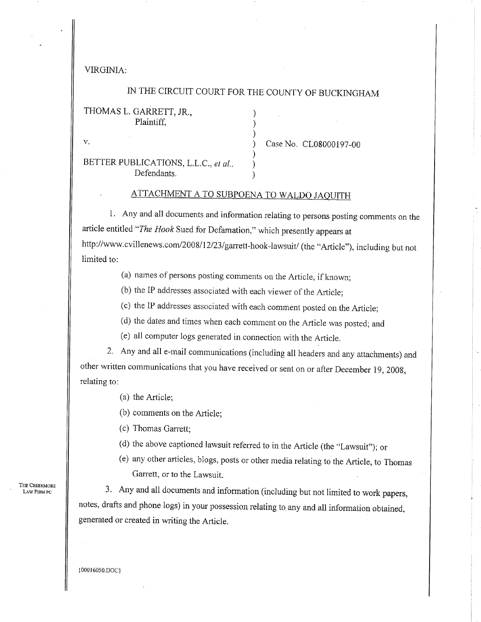VIRGINIA:

#### IN THE CIRCUIT COURT FOR THE COUNTY OF BUCKINGHAM

#### THOMAS L. GARRETT, JR., Plaintiff.

v.

BETTER PUBLICATIONS, L.L.C., et al., Defendants.

Case No. CL08000197-00

### ATTACHMENT A TO SUBPOENA TO WALDO JAQUITH

1. Any and all documents and information relating to persons posting comments on the article entitled "The Hook Sued for Defamation," which presently appears at http://www.cvillenews.com/2008/12/23/garrett-hook-lawsuit/ (the "Article"), including but not limited to:

(a) names of persons posting comments on the Article, if known;

(b) the IP addresses associated with each viewer of the Article;

(c) the IP addresses associated with each comment posted on the Article;

(d) the dates and times when each comment on the Article was posted; and

(e) all computer logs generated in connection with the Article.

2. Any and all e-mail communications (including all headers and any attachments) and other written communications that you have received or sent on or after December 19, 2008, relating to:

(a) the Article;

(b) comments on the Article:

(c) Thomas Garrett;

(d) the above captioned lawsuit referred to in the Article (the "Lawsuit"); or

(e) any other articles, blogs, posts or other media relating to the Article, to Thomas Garrett, or to the Lawsuit.

3. Any and all documents and information (including but not limited to work papers, notes, drafts and phone logs) in your possession relating to any and all information obtained, generated or created in writing the Article.

THE CREEKMORE LAW FIRM PC

(00016050.DOC)